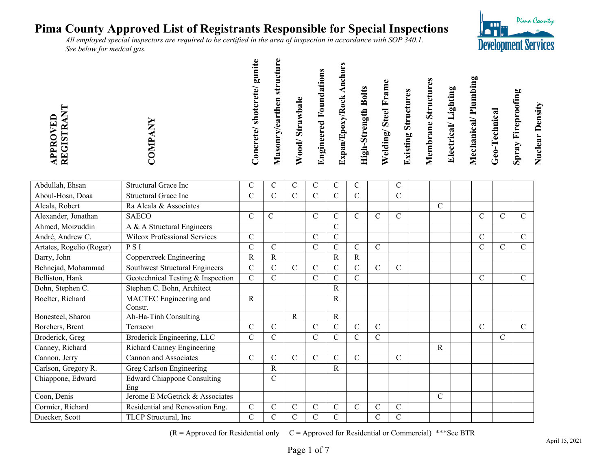*All employed special inspectors are required to be certified in the area of inspection in accordance with SOP 340.1. See below for medcal gas.* 

| VED<br><b>REGISTR</b><br>PPRO | COMP | gunite<br>'oncrete/shotcrete/ | structure<br>Masonry/earthen | Wood/Strawbale | <b>Engineered Foundations</b> | Ancho<br>Expan/Epoxy/Rock | <b>High-Strength Bolts</b> | Welding/Steel Frame | <b>Existing Structures</b> | <b>Membrane Structures</b> | Electrical/Lighting | Mechanical/Plumbing | Geo-Technical | <b>Spray Fireproofing</b> | <b>Nuclear Density</b> |
|-------------------------------|------|-------------------------------|------------------------------|----------------|-------------------------------|---------------------------|----------------------------|---------------------|----------------------------|----------------------------|---------------------|---------------------|---------------|---------------------------|------------------------|
|                               |      | $\checkmark$                  |                              |                |                               |                           |                            |                     |                            |                            |                     |                     |               |                           |                        |

| Abdullah, Ehsan          | Structural Grace Inc                | $\mathcal{C}$ | $\mathsf{C}$   | $\mathcal{C}$  | С              | C             | $\mathsf{C}$  |               | $\mathcal{C}$ |   |               |              |               |
|--------------------------|-------------------------------------|---------------|----------------|----------------|----------------|---------------|---------------|---------------|---------------|---|---------------|--------------|---------------|
| Aboul-Hosn, Doaa         | <b>Structural Grace Inc</b>         | $\mathcal{C}$ | $\overline{C}$ | $\overline{C}$ | $\overline{C}$ | $\mathcal{C}$ | $\mathcal{C}$ |               | $\mathbf C$   |   |               |              |               |
| Alcala, Robert           | Ra Alcala & Associates              |               |                |                |                |               |               |               |               | C |               |              |               |
| Alexander, Jonathan      | <b>SAECO</b>                        | $\mathcal{C}$ | $\mathsf{C}$   |                | $\mathbf C$    | $\mathcal{C}$ | $\mathsf{C}$  | $\mathcal{C}$ | $\mathcal{C}$ |   | $\mathsf{C}$  | $\mathsf{C}$ | $\mathcal{C}$ |
| Ahmed, Moizuddin         | A & A Structural Engineers          |               |                |                |                | $\mathcal{C}$ |               |               |               |   |               |              |               |
| André, Andrew C.         | <b>Wilcox Professional Services</b> | $\mathcal{C}$ |                |                | C              | $\mathbf C$   |               |               |               |   | $\mathcal{C}$ |              | $\mathcal{C}$ |
| Artates, Rogelio (Roger) | P S I                               | $\mathbf C$   | $\overline{C}$ |                | C              | $\mathbf C$   | $\mathcal{C}$ | $\mathcal{C}$ |               |   | $\mathcal{C}$ | $\mathsf{C}$ | $\mathbf C$   |
| Barry, John              | Coppercreek Engineering             | $\mathbb{R}$  | $\mathbf R$    |                |                | R             | $\mathbb{R}$  |               |               |   |               |              |               |
| Behnejad, Mohammad       | Southwest Structural Engineers      | $\mathcal{C}$ | $\overline{C}$ | $\mathbf{C}$   | $\overline{C}$ | $\mathcal{C}$ | $\mathcal{C}$ | $\mathcal{C}$ | $\mathcal{C}$ |   |               |              |               |
| Belliston, Hank          | Geotechnical Testing & Inspection   | $\mathcal{C}$ | C              |                | $\mathsf{C}$   | $\mathcal{C}$ | $\mathcal{C}$ |               |               |   | $\mathcal{C}$ |              | $\mathcal{C}$ |
| Bohn, Stephen C.         | Stephen C. Bohn, Architect          |               |                |                |                | R             |               |               |               |   |               |              |               |
| Boelter, Richard         | MACTEC Engineering and              | $\mathbf R$   |                |                |                | R             |               |               |               |   |               |              |               |
|                          | Constr.                             |               |                |                |                |               |               |               |               |   |               |              |               |
| Bonesteel, Sharon        | Ah-Ha-Tinh Consulting               |               |                | $\mathbf{R}$   |                | R             |               |               |               |   |               |              |               |
| Borchers, Brent          | Terracon                            | $\mathcal{C}$ | C              |                | $\mathcal{C}$  | $\mathcal{C}$ | $\mathcal{C}$ | $\mathcal{C}$ |               |   | $\mathcal{C}$ |              | $\mathcal{C}$ |
| Broderick, Greg          | Broderick Engineering, LLC          | $\mathcal{C}$ | C              |                | C              | $\mathcal{C}$ | $\mathcal{C}$ | $\mathcal{C}$ |               |   |               | C            |               |
| Canney, Richard          | Richard Canney Engineering          |               |                |                |                |               |               |               |               | R |               |              |               |
| Cannon, Jerry            | <b>Cannon and Associates</b>        | $\mathcal{C}$ | $\overline{C}$ | $\mathcal{C}$  | $\overline{C}$ | $\mathcal{C}$ | $\mathsf{C}$  |               | $\mathcal{C}$ |   |               |              |               |
| Carlson, Gregory R.      | Greg Carlson Engineering            |               | R              |                |                | R             |               |               |               |   |               |              |               |
| Chiappone, Edward        | <b>Edward Chiappone Consulting</b>  |               | C              |                |                |               |               |               |               |   |               |              |               |
|                          | Eng                                 |               |                |                |                |               |               |               |               |   |               |              |               |
| Coon, Denis              | Jerome E McGetrick & Associates     |               |                |                |                |               |               |               |               | C |               |              |               |
| Cormier, Richard         | Residential and Renovation Eng.     | $\mathbf C$   | $\overline{C}$ | $\overline{C}$ | $\mathsf{C}$   | $\mathsf{C}$  | $\mathsf{C}$  | $\mathsf{C}$  | $\mathbf C$   |   |               |              |               |
| Duecker, Scott           | TLCP Structural, Inc                | $\mathbf C$   | $\mathbf C$    | $\mathbf C$    | $\mathsf{C}$   | $\mathbf C$   |               | $\mathsf{C}$  | $\mathsf{C}$  |   |               |              |               |

 $(R = A$ pproved for Residential only  $C = A$ pproved for Residential or Commercial) \*\*\*See BTR

Pima County

**Development Services** 

 $\blacksquare$ **PERSONAL**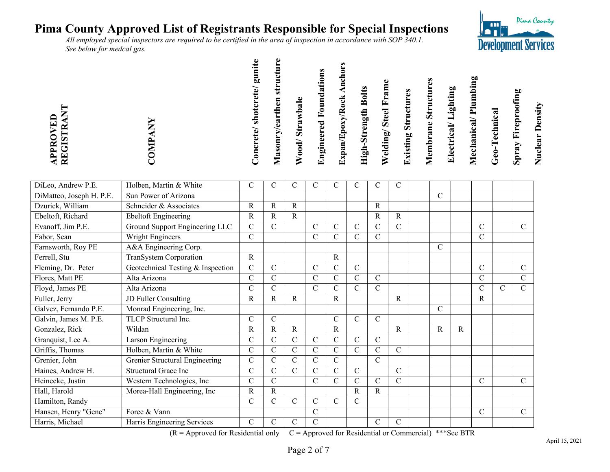*All employed special inspectors are required to be certified in the area of inspection in accordance with SOP 340.1. See below for medcal gas.* 

| PPROVED<br><b>REGISTR</b> |  | gunite<br>Concrete/shotcrete/ | ڡ<br>structur<br>Masonry/earthen | Wood/Strawbale | <b>Engineered Foundations</b> | Expan/Epoxy/Rock Ancho | <b>High-Strength Bolts</b> | Welding/Steel Frame | <b>Existing Structures</b> | <b>Membrane Structures</b> | Electrical/Lighting | Mechanical/Plumbing | Geo-Technical | <b>Spray Fireproofing</b> | <b>Nuclear Density</b> |
|---------------------------|--|-------------------------------|----------------------------------|----------------|-------------------------------|------------------------|----------------------------|---------------------|----------------------------|----------------------------|---------------------|---------------------|---------------|---------------------------|------------------------|
|                           |  |                               |                                  |                |                               |                        |                            |                     |                            |                            |                     |                     |               |                           |                        |

| DiLeo, Andrew P.E.       | Holben, Martin & White            | C             | С              | C            | С              | С              | С             | С              | $\mathcal{C}$ |               |   |               |   |               |
|--------------------------|-----------------------------------|---------------|----------------|--------------|----------------|----------------|---------------|----------------|---------------|---------------|---|---------------|---|---------------|
| DiMatteo, Joseph H. P.E. | Sun Power of Arizona              |               |                |              |                |                |               |                |               | $\mathcal{C}$ |   |               |   |               |
| Dzurick, William         | Schneider & Associates            | $\mathbf R$   | R              | R            |                |                |               | $\mathsf{R}$   |               |               |   |               |   |               |
| Ebeltoft, Richard        | <b>Ebeltoft Engineering</b>       | R             | R              | R            |                |                |               | $\mathbf R$    | $\mathbf R$   |               |   |               |   |               |
| Evanoff, Jim P.E.        | Ground Support Engineering LLC    | $\mathcal{C}$ | C              |              | C              | $\mathbf C$    | C             | C              | $\mathcal{C}$ |               |   | C             |   | C             |
| Fabor, Sean              | Wright Engineers                  | $\mathcal{C}$ |                |              | C              | C              | $\mathsf{C}$  | $\mathcal{C}$  |               |               |   | C             |   |               |
| Farnsworth, Roy PE       | A&A Engineering Corp.             |               |                |              |                |                |               |                |               | $\mathsf{C}$  |   |               |   |               |
| Ferrell, Stu             | TranSystem Corporation            | $\mathbf R$   |                |              |                | $\mathbf R$    |               |                |               |               |   |               |   |               |
| Fleming, Dr. Peter       | Geotechnical Testing & Inspection | $\mathcal{C}$ | $\mathcal{C}$  |              | C              | C              | $\mathcal{C}$ |                |               |               |   | C             |   | $\mathcal{C}$ |
| Flores, Matt PE          | Alta Arizona                      | $\mathsf{C}$  | C              |              | C              | C              | $\mathbf C$   | $\mathcal{C}$  |               |               |   | C             |   | $\mathcal{C}$ |
| Floyd, James PE          | Alta Arizona                      | $\mathcal{C}$ | $\overline{C}$ |              | $\overline{C}$ | C.             | $\mathbf C$   | $\overline{C}$ |               |               |   | C             | C | $\mathcal{C}$ |
| Fuller, Jerry            | JD Fuller Consulting              | $\mathbf R$   | R              | R            |                | $\mathbf R$    |               |                | R             |               |   | R             |   |               |
| Galvez, Fernando P.E.    | Monrad Engineering, Inc.          |               |                |              |                |                |               |                |               | $\mathsf{C}$  |   |               |   |               |
| Galvin, James M. P.E.    | TLCP Structural Inc.              | $\mathcal{C}$ | C              |              |                | C              | $\mathsf{C}$  | $\mathcal{C}$  |               |               |   |               |   |               |
| Gonzalez, Rick           | Wildan                            | $\mathbb{R}$  | R              | R            |                | R              |               |                | R             | R             | R |               |   |               |
| Granquist, Lee A.        | Larson Engineering                | $\mathcal{C}$ | C              | C            | C              | $\mathbf C$    | $\mathsf{C}$  | $\mathcal{C}$  |               |               |   |               |   |               |
| Griffis, Thomas          | Holben, Martin & White            | $\mathbf C$   | C              | C            | $\mathsf{C}$   | C              | $\mathsf{C}$  | C              | $\mathsf{C}$  |               |   |               |   |               |
| Grenier, John            | Grenier Structural Engineering    | $\mathbf C$   | $\mathcal{C}$  | C            | C              | C              |               | $\mathcal{C}$  |               |               |   |               |   |               |
| Haines, Andrew H.        | <b>Structural Grace Inc</b>       | $\mathbf C$   | $\mathcal{C}$  | C            | C              | $\mathcal{C}$  | $\mathcal{C}$ |                | $\mathcal{C}$ |               |   |               |   |               |
| Heinecke, Justin         | Western Technologies, Inc         | $\mathcal{C}$ | $\overline{C}$ |              | $\overline{C}$ | $\overline{C}$ | $\mathbf C$   | $\mathcal{C}$  | $\mathcal{C}$ |               |   | $\mathcal{C}$ |   | $\mathcal{C}$ |
| Hall, Harold             | Morea-Hall Engineering, Inc       | $\mathbf R$   | R              |              |                |                | $\mathbf R$   | $\mathbf R$    |               |               |   |               |   |               |
| Hamilton, Randy          |                                   | $\mathbf C$   | $\overline{C}$ | $\mathsf{C}$ | $\overline{C}$ | $\mathbf C$    | $\mathbf C$   |                |               |               |   |               |   |               |
| Hansen, Henry "Gene"     | Foree & Vann                      |               |                |              | $\mathcal{C}$  |                |               |                |               |               |   | $\mathbf C$   |   | $\mathcal{C}$ |
| Harris, Michael          | Harris Engineering Services       | $\mathcal{C}$ | C              | C            | $\mathbf C$    |                |               | С              | $\mathcal{C}$ |               |   |               |   |               |

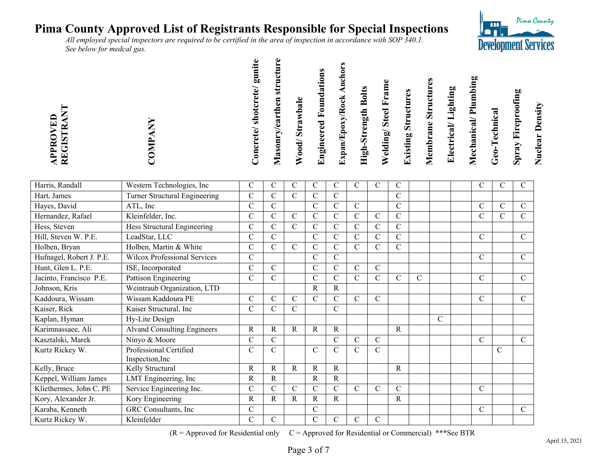*All employed special inspectors are required to be certified in the area of inspection in accordance with SOP 340.1. See below for medcal gas.* 

| VED<br><b>REGISTR</b><br>PPRO |  | gunite<br>Concrete/shotcrete/ | ٥<br>Masonry/earthen structur | Wood/Strawbale | <b>Engineered Foundations</b> | Expan/Epoxy/Rock Ancl | <b>High-Strength Bolts</b> | Welding/Steel Frame | <b>Existing Structures</b> | Membrane Structures | Electrical/Lighting | Mechanical/Plumbing | Geo-Technical | Spray Fireproofing | <b>Nuclear Density</b> |
|-------------------------------|--|-------------------------------|-------------------------------|----------------|-------------------------------|-----------------------|----------------------------|---------------------|----------------------------|---------------------|---------------------|---------------------|---------------|--------------------|------------------------|
|                               |  |                               |                               |                |                               |                       |                            |                     |                            |                     |                     |                     |               |                    |                        |

| Harris, Randall          | Western Technologies, Inc           | $\mathbf C$   | $\mathsf{C}$   | $\mathcal{C}$  | $\mathbf C$    | C             | $\mathsf{C}$   | $\mathcal{C}$ | $\mathsf{C}$  |   |               | $\mathcal{C}$ | C             | $\mathbf C$   |
|--------------------------|-------------------------------------|---------------|----------------|----------------|----------------|---------------|----------------|---------------|---------------|---|---------------|---------------|---------------|---------------|
| Hart, James              | Turner Structural Engineering       | $\mathbf C$   | $\overline{C}$ | $\overline{C}$ | $\overline{C}$ | $\mathcal{C}$ |                |               | $\mathbf C$   |   |               |               |               |               |
| Hayes, David             | ATL, Inc                            | $\mathcal{C}$ | $\mathbf{C}$   |                | C              | $\mathcal{C}$ | $\mathcal{C}$  |               | $\mathcal{C}$ |   |               | $\mathcal{C}$ | $\mathcal{C}$ | $\mathcal{C}$ |
| Hernandez, Rafael        | Kleinfelder, Inc.                   | $\mathcal{C}$ | $\overline{C}$ | C              | $\mathsf{C}$   | $\mathcal{C}$ | $\overline{C}$ | $\mathbf C$   | $\mathsf{C}$  |   |               | $\mathcal{C}$ | C             | C             |
| Hess, Steven             | Hess Structural Engineering         | $\mathbf C$   | C              | $\mathcal{C}$  | $\mathbf C$    | $\mathcal{C}$ | $\mathsf{C}$   | $\mathcal{C}$ | $\mathcal{C}$ |   |               |               |               |               |
| Hill, Steven W. P.E.     | LeadStar, LLC                       | $\mathbf C$   | $\overline{C}$ |                | $\mathbf{C}$   | $\mathcal{C}$ | $\mathcal{C}$  | $\mathcal{C}$ | $\mathcal{C}$ |   |               | $\mathcal{C}$ |               | $\mathcal{C}$ |
| Holben, Bryan            | Holben, Martin & White              | $\mathcal{C}$ | $\overline{C}$ | $\overline{C}$ | $\overline{C}$ | $\mathbf C$   | $\mathbf C$    | $\mathbf C$   | $\mathbf C$   |   |               |               |               |               |
| Hufnagel, Robert J. P.E. | <b>Wilcox Professional Services</b> | $\mathcal{C}$ |                |                | $\overline{C}$ | $\mathbf C$   |                |               |               |   |               | $\mathcal{C}$ |               | $\mathbf C$   |
| Hunt, Glen L. P.E.       | ISE, Incorporated                   | $\mathbf C$   | $\overline{C}$ |                | $\overline{C}$ | $\mathbf C$   | $\mathcal{C}$  | $\mathbf C$   |               |   |               |               |               |               |
| Jacinto, Francisco P.E.  | <b>Pattison Engineering</b>         | $\mathbf C$   | $\mathbf C$    |                | $\overline{C}$ | $\mathbf{C}$  | $\mathcal{C}$  | $\mathcal{C}$ | $\mathsf{C}$  | C |               | $\mathsf{C}$  |               | $\mathcal{C}$ |
| Johnson, Kris            | Weintraub Organization, LTD         |               |                |                | R              | R             |                |               |               |   |               |               |               |               |
| Kaddoura, Wissam         | Wissam Kaddoura PE                  | $\mathbf C$   | $\overline{C}$ | C              | $\mathsf{C}$   | $\mathcal{C}$ | $\mathsf{C}$   | $\mathcal{C}$ |               |   |               | $\mathcal{C}$ |               | $\mathcal{C}$ |
| Kaiser, Rick             | Kaiser Structural, Inc              | $\mathbf C$   | C              | C              |                | $\mathcal{C}$ |                |               |               |   |               |               |               |               |
| Kaplan, Hyman            | Hy-Lite Design                      |               |                |                |                |               |                |               |               |   | $\mathcal{C}$ |               |               |               |
| Karimnassaee, Ali        | <b>Alvand Consulting Engineers</b>  | $\mathbb{R}$  | R              | R              | $\mathbf R$    | R             |                |               | R             |   |               |               |               |               |
| Kasztalski, Marek        | Ninyo & Moore                       | $\mathbf C$   | $\overline{C}$ |                |                | $\mathsf{C}$  | $\mathcal{C}$  | $\mathcal{C}$ |               |   |               | $\mathcal{C}$ |               | $\mathcal{C}$ |
| Kurtz Rickey W.          | Professional Certified              | $\mathsf{C}$  | $\overline{C}$ |                | $\mathsf{C}$   | $\mathsf{C}$  | $\mathcal{C}$  | $\mathcal{C}$ |               |   |               |               | C             |               |
|                          | Inspection, Inc.                    |               |                |                |                |               |                |               |               |   |               |               |               |               |
| Kelly, Bruce             | Kelly Structural                    | $\mathbf R$   | $\mathbf R$    | R              | $\mathbf R$    | R             |                |               | R             |   |               |               |               |               |
| Keppel, William James    | LMT Engineering, Inc                | $\mathbb{R}$  | R              |                | R              | R             |                |               |               |   |               |               |               |               |
| Kliethermes, John C. PE  | Service Engineering Inc.            | $\mathcal{C}$ | $\overline{C}$ | $\overline{C}$ | $\overline{C}$ | $\mathcal{C}$ | $\mathcal{C}$  | $\mathcal{C}$ | $\mathbf C$   |   |               | $\mathcal{C}$ |               |               |
| Kory, Alexander Jr.      | Kory Engineering                    | $\mathbb{R}$  | $\mathbf R$    | R              | R              | R             |                |               | $\mathbb{R}$  |   |               |               |               |               |
| Karaba, Kenneth          | GRC Consultants, Inc                | $\mathcal{C}$ |                |                | C              |               |                |               |               |   |               | $\mathsf{C}$  |               | $\mathcal{C}$ |
| Kurtz Rickey W.          | Kleinfelder                         | $\mathbf C$   | $\mathbf C$    |                | $\mathsf{C}$   | C             | $\mathcal{C}$  | $\mathbf C$   |               |   |               |               |               |               |

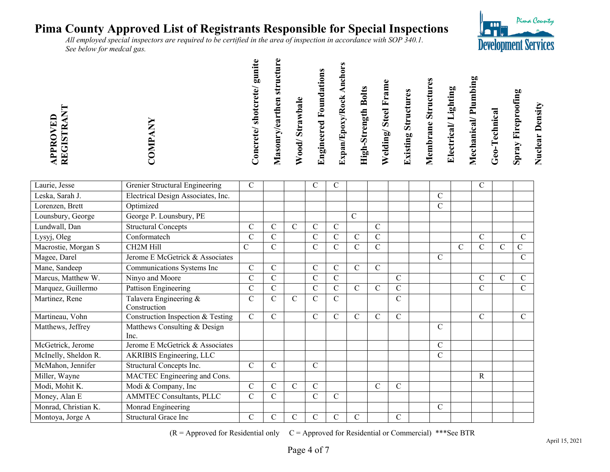*All employed special inspectors are required to be certified in the area of inspection in accordance with SOP 340.1. See below for medcal gas.* 

| VED<br><b>REGISTR</b><br>PPR | gunite<br>Concrete/shotcrete/ | structure<br>Masonry/earthen | Wood/Strawbale | <b>Engineered Foundations</b> | Ancho<br>Expan/Epoxy/Rock | <b>High-Strength Bolts</b> | Welding/Steel Frame | <b>Existing Structures</b> | <b>Membrane Structures</b> | Electrical/Lighting | Mechanical/Plumbing | Geo-Technical | <b>Spray Fireproofing</b> | <b>Nuclear Density</b> |
|------------------------------|-------------------------------|------------------------------|----------------|-------------------------------|---------------------------|----------------------------|---------------------|----------------------------|----------------------------|---------------------|---------------------|---------------|---------------------------|------------------------|
|                              |                               |                              |                |                               |                           |                            |                     |                            |                            |                     |                     |               |                           |                        |

| Laurie, Jesse        | Grenier Structural Engineering     | $\mathcal{C}$ |                |                | С              | С              |                |               |               |               |              | C              |   |                |
|----------------------|------------------------------------|---------------|----------------|----------------|----------------|----------------|----------------|---------------|---------------|---------------|--------------|----------------|---|----------------|
| Leska, Sarah J.      | Electrical Design Associates, Inc. |               |                |                |                |                |                |               |               | $\mathcal{C}$ |              |                |   |                |
| Lorenzen, Brett      | Optimized                          |               |                |                |                |                |                |               |               | $\mathcal{C}$ |              |                |   |                |
| Lounsbury, George    | George P. Lounsbury, PE            |               |                |                |                |                | $\mathcal{C}$  |               |               |               |              |                |   |                |
| Lundwall, Dan        | <b>Structural Concepts</b>         | $\mathcal{C}$ | C              | C              | $\overline{C}$ | $\mathcal{C}$  |                | $\mathcal{C}$ |               |               |              |                |   |                |
| Lysyj, Oleg          | Conformatech                       | $\mathcal{C}$ | C              |                | $\mathbf C$    | $\mathbf C$    | $\overline{C}$ | $\mathcal{C}$ |               |               |              | $\mathcal{C}$  |   | $\mathcal{C}$  |
| Macrostie, Morgan S  | CH2M Hill                          | $\mathsf{C}$  | $\overline{C}$ |                | $\mathbf C$    | $\mathbf C$    | $\overline{C}$ | $\mathbf C$   |               |               | $\mathsf{C}$ | $\overline{C}$ | C | $\overline{C}$ |
| Magee, Darel         | Jerome E McGetrick & Associates    |               |                |                |                |                |                |               |               | $\mathcal{C}$ |              |                |   | C              |
| Mane, Sandeep        | Communications Systems Inc         | $\mathbf C$   | $\overline{C}$ |                | $\mathbf C$    | $\mathbf C$    | $\overline{C}$ | $\mathbf C$   |               |               |              |                |   |                |
| Marcus, Matthew W.   | Ninyo and Moore                    | $\mathcal{C}$ | $\overline{C}$ |                | $\mathsf{C}$   | $\mathsf{C}$   |                |               | $\mathsf{C}$  |               |              | C              | C | $\mathcal{C}$  |
| Marquez, Guillermo   | Pattison Engineering               | $\mathcal{C}$ | $\overline{C}$ |                | $\mathbf C$    | $\mathcal{C}$  | $\mathcal{C}$  | $\mathcal{C}$ | $\mathcal{C}$ |               |              | C              |   | $\mathcal{C}$  |
| Martinez, Rene       | Talavera Engineering &             | $\mathcal{C}$ | $\overline{C}$ | $\overline{C}$ | $\overline{C}$ | $\overline{C}$ |                |               | $\mathcal{C}$ |               |              |                |   |                |
|                      | Construction                       |               |                |                |                |                |                |               |               |               |              |                |   |                |
| Martineau, Vohn      | Construction Inspection & Testing  | $\mathcal{C}$ | $\overline{C}$ |                | $\overline{C}$ | $\mathbf C$    | $\mathbf C$    | $\mathcal{C}$ | $\mathcal{C}$ |               |              | C              |   | $\mathcal{C}$  |
| Matthews, Jeffrey    | Matthews Consulting & Design       |               |                |                |                |                |                |               |               | $\mathbf C$   |              |                |   |                |
|                      | Inc.                               |               |                |                |                |                |                |               |               |               |              |                |   |                |
| McGetrick, Jerome    | Jerome E McGetrick & Associates    |               |                |                |                |                |                |               |               | $\mathcal{C}$ |              |                |   |                |
| McInelly, Sheldon R. | <b>AKRIBIS</b> Engineering, LLC    |               |                |                |                |                |                |               |               | $\mathsf{C}$  |              |                |   |                |
| McMahon, Jennifer    | Structural Concepts Inc.           | $\mathcal{C}$ | C              |                | $\mathsf{C}$   |                |                |               |               |               |              |                |   |                |
| Miller, Wayne        | MACTEC Engineering and Cons.       |               |                |                |                |                |                |               |               |               |              | $\mathsf{R}$   |   |                |
| Modi, Mohit K.       | Modi & Company, Inc                | $\mathcal{C}$ | C              | $\overline{C}$ | $\mathbf C$    |                |                | $\mathcal{C}$ | $\mathcal{C}$ |               |              |                |   |                |
| Money, Alan E        | <b>AMMTEC Consultants, PLLC</b>    | $\mathbf C$   | $\overline{C}$ |                | $\mathsf{C}$   | $\mathbf C$    |                |               |               |               |              |                |   |                |
| Monrad, Christian K. | Monrad Engineering                 |               |                |                |                |                |                |               |               | $\mathcal{C}$ |              |                |   |                |
| Montoya, Jorge A     | <b>Structural Grace Inc</b>        | $\mathcal{C}$ | C              | $\mathsf{C}$   | $\mathbf C$    | $\mathbf C$    | $\overline{C}$ |               | $\mathcal{C}$ |               |              |                |   |                |

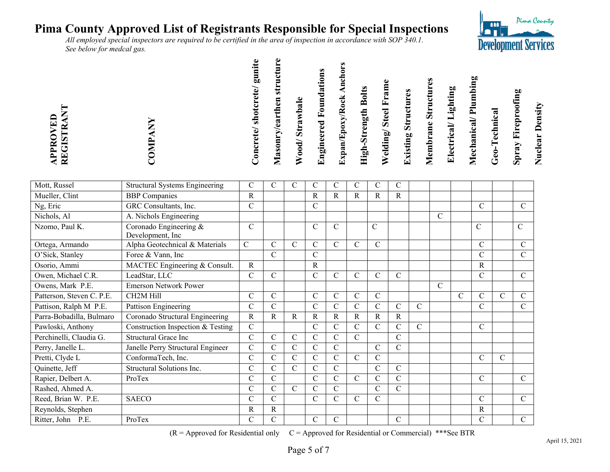*All employed special inspectors are required to be certified in the area of inspection in accordance with SOP 340.1. See below for medcal gas.* 

| VED<br><b>REGISTR</b><br>PPRO | gunite<br>Concrete/shotcrete/ | $\bullet$<br>Masonry/earthen structur | Wood/Strawbale | <b>Engineered Foundations</b> | Ancho<br>Expan/Epoxy/Rock | High-Strength Bolts | Welding/Steel Frame | <b>Existing Structures</b> | <b>Membrane Structures</b> | Electrical/Lighting | Mechanical/Plumbing | Geo-Technical | <b>Spray Fireproofing</b> | <b>Nuclear Density</b> |
|-------------------------------|-------------------------------|---------------------------------------|----------------|-------------------------------|---------------------------|---------------------|---------------------|----------------------------|----------------------------|---------------------|---------------------|---------------|---------------------------|------------------------|
|                               |                               |                                       |                |                               |                           |                     |                     |                            |                            |                     |                     |               |                           |                        |

| Mott, Russel              | <b>Structural Systems Engineering</b>      | C              | С              | С              | С              | С              | C             | C             | C              |               |               |               |                |               |                |
|---------------------------|--------------------------------------------|----------------|----------------|----------------|----------------|----------------|---------------|---------------|----------------|---------------|---------------|---------------|----------------|---------------|----------------|
| Mueller, Clint            | <b>BBP</b> Companies                       | R              |                |                | R              | R              | R             | R             | R              |               |               |               |                |               |                |
| Ng, Eric                  | GRC Consultants, Inc.                      | $\mathcal{C}$  |                |                | C              |                |               |               |                |               |               |               | C              |               | $\mathcal{C}$  |
| Nichols, Al               | A. Nichols Engineering                     |                |                |                |                |                |               |               |                |               | $\mathcal{C}$ |               |                |               |                |
| Nzomo, Paul K.            | Coronado Engineering &<br>Development, Inc | $\mathcal{C}$  |                |                | $\overline{C}$ | C              |               | $\mathcal{C}$ |                |               |               |               | $\overline{C}$ |               | $\mathbf C$    |
| Ortega, Armando           | Alpha Geotechnical & Materials             | $\mathbf C$    | C              | C              | C              | C              | C             | C             |                |               |               |               | C              |               | $\mathbf C$    |
| O'Sick, Stanley           | Foree & Vann, Inc                          |                | C              |                | $\overline{C}$ |                |               |               |                |               |               |               | $\mathcal{C}$  |               | $\overline{C}$ |
| Osorio, Ammi              | MACTEC Engineering & Consult.              | $\mathbf R$    |                |                | R              |                |               |               |                |               |               |               | R              |               |                |
| Owen, Michael C.R.        | LeadStar, LLC                              | $\mathbf C$    | C              |                | $\mathbf C$    | C              | $\mathcal{C}$ | $\mathsf{C}$  | $\mathcal{C}$  |               |               |               | $\mathcal{C}$  |               | $\mathcal{C}$  |
| Owens, Mark P.E.          | <b>Emerson Network Power</b>               |                |                |                |                |                |               |               |                |               | $\mathcal{C}$ |               |                |               |                |
| Patterson, Steven C. P.E. | CH2M Hill                                  | $\mathcal{C}$  | $\mathbf C$    |                | $\mathbf C$    | $\mathcal{C}$  | $\mathcal{C}$ | $\mathcal{C}$ |                |               |               | $\mathcal{C}$ | $\mathcal{C}$  | $\mathcal{C}$ | C              |
| Pattison, Ralph M P.E.    | Pattison Engineering                       | $\mathcal{C}$  | С              |                | C              | C              | C             | C             | $\mathcal{C}$  | $\mathcal{C}$ |               |               | $\mathcal{C}$  |               | C              |
| Parra-Bobadilla, Bulmaro  | Coronado Structural Engineering            | $\mathbf R$    | $\mathbf R$    | R              | R              | R              | R             | R             | R              |               |               |               |                |               |                |
| Pawloski, Anthony         | Construction Inspection & Testing          | $\mathcal{C}$  |                |                | $\mathbf C$    | C              | C             | $\mathcal{C}$ | $\overline{C}$ | $\mathcal{C}$ |               |               | $\mathcal{C}$  |               |                |
| Perchinelli, Claudia G.   | <b>Structural Grace Inc</b>                | $\overline{C}$ | $\overline{C}$ | $\overline{C}$ | $\overline{C}$ | $\overline{C}$ | $\mathbf C$   |               | $\mathbf C$    |               |               |               |                |               |                |
| Perry, Janelle L.         | Janelle Perry Structural Engineer          | $\overline{C}$ | С              | C              | $\overline{C}$ | C              |               | $\mathcal{C}$ | $\overline{C}$ |               |               |               |                |               |                |
| Pretti, Clyde L           | ConformaTech, Inc.                         | $\mathcal{C}$  | C              | C              | $\mathbf C$    | $\mathsf{C}$   | $\mathbf C$   | $\mathcal{C}$ |                |               |               |               | $\mathcal{C}$  | $\mathcal{C}$ |                |
| Quinette, Jeff            | Structural Solutions Inc.                  | $\mathsf{C}$   | $\overline{C}$ | $\mathbf C$    | $\mathbf C$    | $\mathcal{C}$  |               | $\mathbf C$   | $\mathcal{C}$  |               |               |               |                |               |                |
| Rapier, Delbert A.        | ProTex                                     | $\mathsf{C}$   | C              |                | $\mathcal{C}$  | $\mathsf{C}$   | $\mathbf C$   | $\mathcal{C}$ | $\mathbf C$    |               |               |               | $\mathcal{C}$  |               | C              |
| Rashed, Ahmed A.          |                                            | $\mathsf{C}$   | $\overline{C}$ | $\mathbf C$    | $\overline{C}$ | $\mathsf{C}$   |               | $\mathcal{C}$ | $\mathcal{C}$  |               |               |               |                |               |                |
| Reed, Brian W. P.E.       | <b>SAECO</b>                               | $\mathsf{C}$   | $\overline{C}$ |                | $\mathbf C$    | $\overline{C}$ | $\mathbf C$   | $\mathsf{C}$  |                |               |               |               | $\mathcal{C}$  |               | $\mathbf C$    |
| Reynolds, Stephen         |                                            | R              | R              |                |                |                |               |               |                |               |               |               | R              |               |                |
| Ritter, John P.E.         | ProTex                                     | $\mathcal{C}$  | $\mathcal{C}$  |                | $\mathbf C$    | C              |               |               | $\mathcal{C}$  |               |               |               | C              |               | $\overline{C}$ |

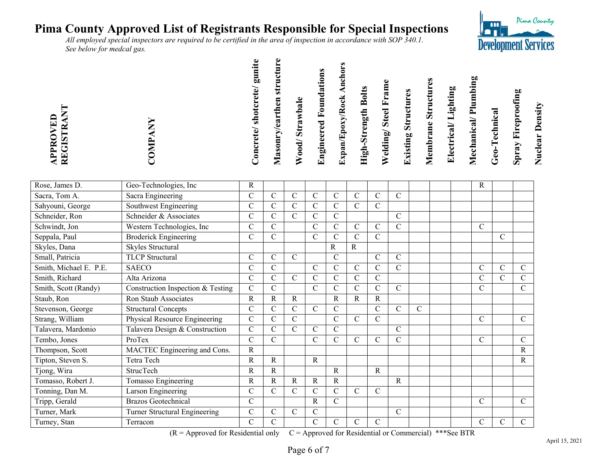*All employed special inspectors are required to be certified in the area of inspection in accordance with SOP 340.1. See below for medcal gas.* 

| $\mathbf{E}$<br><b>REGISTR</b><br>PPR | gunit<br>'oncrete/shotcrete/ | Φ<br>structu<br>Masonry/earthen | Wood/Strawbale | <b>Engineered Foundations</b> | Expan/Epoxy/Rock Ancho | <b>High-Strength Bolts</b> | Welding/Steel Frame | <b>Existing Structures</b> | <b>Membrane Structures</b> | Electrical/Lighting | Mechanical/Plumbing | Geo-Technical | <b>Spray Fireproofing</b> | <b>Nuclear Density</b> |
|---------------------------------------|------------------------------|---------------------------------|----------------|-------------------------------|------------------------|----------------------------|---------------------|----------------------------|----------------------------|---------------------|---------------------|---------------|---------------------------|------------------------|
|                                       | $\checkmark$                 |                                 |                |                               |                        |                            |                     |                            |                            |                     |                     |               |                           |                        |

| Rose, James D.         | Geo-Technologies, Inc             | R             |                |                |                |                |                |                |               |               |  | R              |                |                |
|------------------------|-----------------------------------|---------------|----------------|----------------|----------------|----------------|----------------|----------------|---------------|---------------|--|----------------|----------------|----------------|
| Sacra, Tom A.          | Sacra Engineering                 | $\mathcal{C}$ | C              | C              | $\mathsf{C}$   | C.             | $\overline{C}$ | $\mathcal{C}$  | $\mathcal{C}$ |               |  |                |                |                |
| Sahyouni, George       | Southwest Engineering             | $\mathcal{C}$ | C              | C              | C              | C              | $\overline{C}$ | $\mathcal{C}$  |               |               |  |                |                |                |
| Schneider, Ron         | Schneider & Associates            | $\mathcal{C}$ | C              | C              | $\mathsf{C}$   | C              |                |                | $\mathcal{C}$ |               |  |                |                |                |
| Schwindt, Jon          | Western Technologies, Inc.        | $\mathcal{C}$ | C              |                | C              | C              | $\mathsf{C}$   | $\mathcal{C}$  | $\mathcal{C}$ |               |  | C              |                |                |
| Seppala, Paul          | <b>Broderick Engineering</b>      | $\mathcal{C}$ | $\mathcal{C}$  |                | C              | C              | $\mathsf{C}$   | $\mathcal{C}$  |               |               |  |                | $\mathcal{C}$  |                |
| Skyles, Dana           | Skyles Structural                 |               |                |                |                | $\mathbf R$    | R              |                |               |               |  |                |                |                |
| Small, Patricia        | <b>TLCP</b> Structural            | $\mathcal{C}$ | $\overline{C}$ | $\mathsf{C}$   |                | $\mathcal{C}$  |                | $\mathbf C$    | $\mathcal{C}$ |               |  |                |                |                |
| Smith, Michael E. P.E. | <b>SAECO</b>                      | $\mathcal{C}$ | $\overline{C}$ |                | C              | $\overline{C}$ | C              | $\mathcal{C}$  | $\mathbf C$   |               |  | C              | $\mathcal{C}$  | C              |
| Smith, Richard         | Alta Arizona                      | $\mathbf C$   | $\overline{C}$ | $\overline{C}$ | $\overline{C}$ | $\overline{C}$ | $\overline{C}$ | $\mathbf C$    |               |               |  | C              | $\overline{C}$ | $\mathbf C$    |
| Smith, Scott (Randy)   | Construction Inspection & Testing | $\mathbf C$   | $\overline{C}$ |                | $\overline{C}$ | $\mathbf{C}$   | $\overline{C}$ | $\overline{C}$ | $\mathbf C$   |               |  | $\overline{C}$ |                | $\overline{C}$ |
| Staub, Ron             | Ron Staub Associates              | $\mathbf R$   | R              | $\mathbf R$    |                | $\mathbf R$    | $\mathbf R$    | R              |               |               |  |                |                |                |
| Stevenson, George      | <b>Structural Concepts</b>        | $\mathsf{C}$  | C              | C              | C              | C              |                | $\mathcal{C}$  | $\mathcal{C}$ | $\mathcal{C}$ |  |                |                |                |
| Strang, William        | Physical Resource Engineering     | $\mathcal{C}$ | $\overline{C}$ | C.             |                | $\overline{C}$ | $\overline{C}$ | $\mathcal{C}$  |               |               |  | C              |                | $\mathcal{C}$  |
| Talavera, Mardonio     | Talavera Design & Construction    | $\mathcal{C}$ | C              | C              | C              | C              |                |                | $\mathcal{C}$ |               |  |                |                |                |
| Tembo, Jones           | ProTex                            | $\mathsf{C}$  | C              |                | C              | C              | $\mathsf{C}$   | C              | $\mathcal{C}$ |               |  | C              |                | $\mathcal{C}$  |
| Thompson, Scott        | MACTEC Engineering and Cons.      | $\mathbf R$   |                |                |                |                |                |                |               |               |  |                |                | R              |
| Tipton, Steven S.      | Tetra Tech                        | $\mathbf R$   | R              |                | $\mathbf R$    |                |                |                |               |               |  |                |                | R              |
| Tjong, Wira            | <b>StrucTech</b>                  | $\mathbf R$   | R              |                |                | $\mathsf{R}$   |                | R              |               |               |  |                |                |                |
| Tomasso, Robert J.     | Tomasso Engineering               | $\mathbf R$   | $\mathbf R$    | R              | R              | R              |                |                | $\mathbf R$   |               |  |                |                |                |
| Tonning, Dan M.        | Larson Engineering                | $\mathsf{C}$  | C              | C              | C              | C              | C              | $\mathcal{C}$  |               |               |  |                |                |                |
| Tripp, Gerald          | <b>Brazos Geotechnical</b>        | $\mathbf C$   |                |                | R              | $\overline{C}$ |                |                |               |               |  | C              |                | $\mathcal{C}$  |
| Turner, Mark           | Turner Structural Engineering     | $\mathbf C$   | $\overline{C}$ | $\overline{C}$ | $\mathbf C$    |                |                |                | $\mathbf C$   |               |  |                |                |                |
| Turney, Stan           | Terracon                          | $\mathbf C$   | $\overline{C}$ |                | $\overline{C}$ | C              | $\mathsf{C}$   | $\mathcal{C}$  |               |               |  | C              | $\mathcal{C}$  | $\overline{C}$ |

 $(R = A$ pproved for Residential only  $C = A$ pproved for Residential or Commercial) \*\*\*See BTR

Pima County

**Development Services** 

 $\blacksquare$ **POLIT**